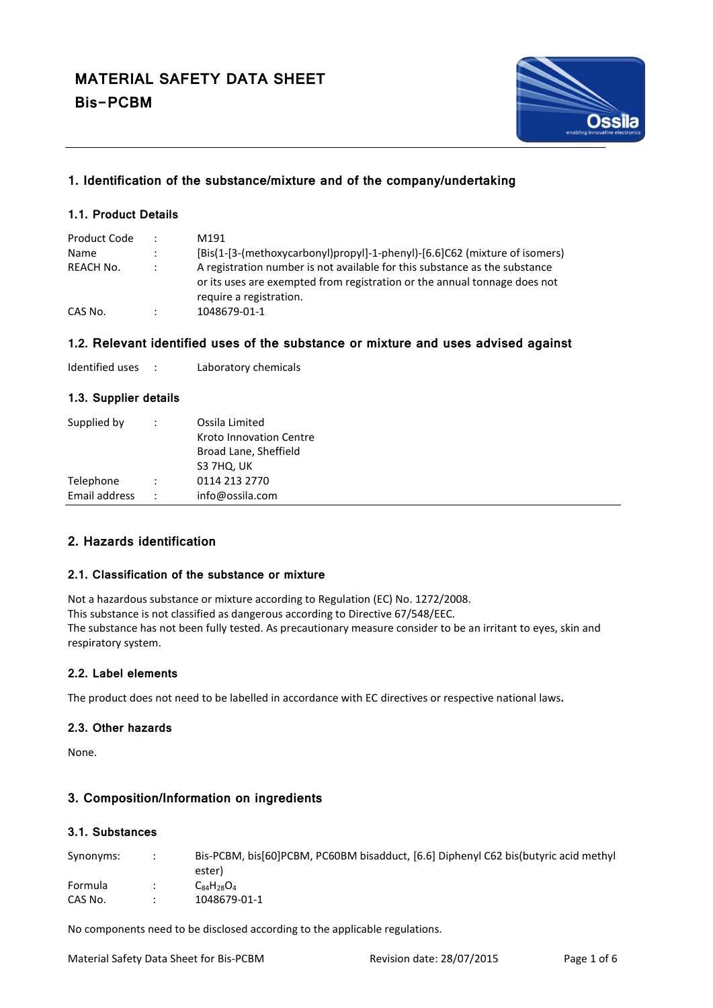

# **1. Identification of the substance/mixture and of the company/undertaking**

### **1.1. Product Details**

| Product Code | $\ddot{\phantom{0}}$ | M191                                                                                                                                                                               |
|--------------|----------------------|------------------------------------------------------------------------------------------------------------------------------------------------------------------------------------|
| Name         | $\ddot{\phantom{0}}$ | [Bis(1-[3-(methoxycarbonyl)propyl]-1-phenyl)-[6.6]C62 (mixture of isomers)                                                                                                         |
| REACH No.    | $\ddot{\phantom{a}}$ | A registration number is not available for this substance as the substance<br>or its uses are exempted from registration or the annual tonnage does not<br>require a registration. |
| CAS No.      | ٠                    | 1048679-01-1                                                                                                                                                                       |

### **1.2. Relevant identified uses of the substance or mixture and uses advised against**

| Identified uses |  | Laboratory chemicals |
|-----------------|--|----------------------|
|-----------------|--|----------------------|

#### **1.3. Supplier details**

| :                    | Ossila Limited          |
|----------------------|-------------------------|
|                      | Kroto Innovation Centre |
|                      | Broad Lane, Sheffield   |
|                      | S3 7HQ, UK              |
| $\ddot{\cdot}$       | 0114 213 2770           |
| $\ddot{\phantom{a}}$ | info@ossila.com         |
|                      |                         |

### **2. Hazards identification**

#### **2.1. Classification of the substance or mixture**

Not a hazardous substance or mixture according to Regulation (EC) No. 1272/2008. This substance is not classified as dangerous according to Directive 67/548/EEC. The substance has not been fully tested. As precautionary measure consider to be an irritant to eyes, skin and respiratory system.

### **2.2. Label elements**

The product does not need to be labelled in accordance with EC directives or respective national laws**.**

### **2.3. Other hazards**

None.

## **3. Composition/Information on ingredients**

### **3.1. Substances**

| Synonyms: | Bis-PCBM, bis [60] PCBM, PC60BM bisadduct, [6.6] Diphenyl C62 bis (butyric acid methyl<br>ester) |
|-----------|--------------------------------------------------------------------------------------------------|
| Formula   | $C_{84}H_{28}O_4$                                                                                |
| CAS No.   | 1048679-01-1                                                                                     |

No components need to be disclosed according to the applicable regulations.

Material Safety Data Sheet for Bis-PCBM Revision date: 28/07/2015 Page 1 of 6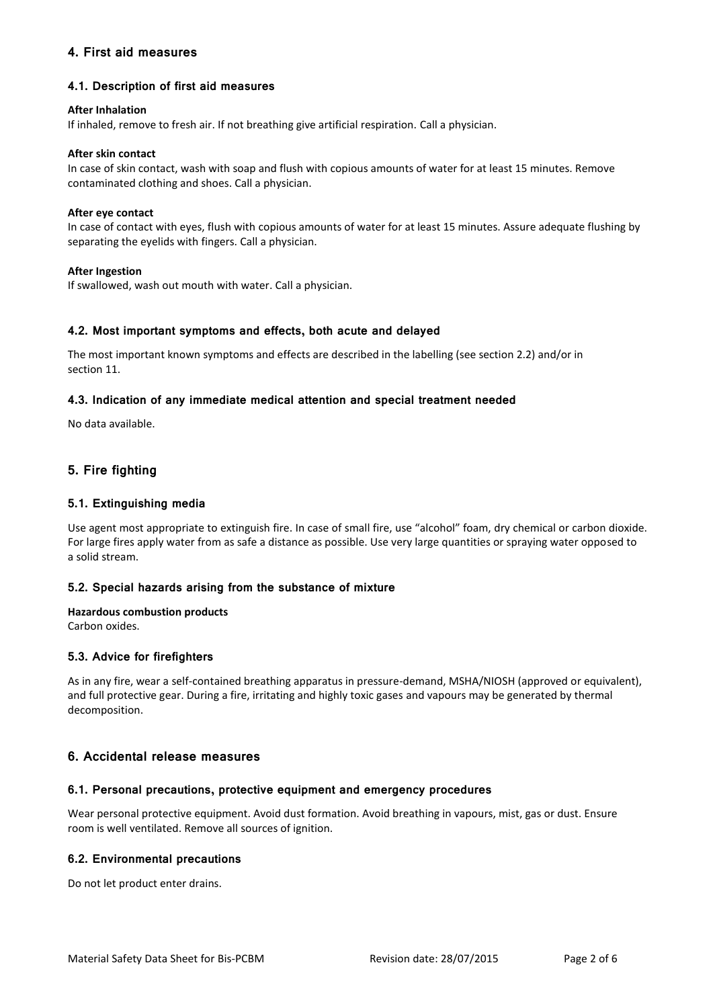## **4. First aid measures**

### **4.1. Description of first aid measures**

#### **After Inhalation**

If inhaled, remove to fresh air. If not breathing give artificial respiration. Call a physician.

#### **After skin contact**

In case of skin contact, wash with soap and flush with copious amounts of water for at least 15 minutes. Remove contaminated clothing and shoes. Call a physician.

#### **After eye contact**

In case of contact with eyes, flush with copious amounts of water for at least 15 minutes. Assure adequate flushing by separating the eyelids with fingers. Call a physician.

#### **After Ingestion**

If swallowed, wash out mouth with water. Call a physician.

#### **4.2. Most important symptoms and effects, both acute and delayed**

The most important known symptoms and effects are described in the labelling (see section 2.2) and/or in section 11.

### **4.3. Indication of any immediate medical attention and special treatment needed**

No data available.

# **5. Fire fighting**

### **5.1. Extinguishing media**

Use agent most appropriate to extinguish fire. In case of small fire, use "alcohol" foam, dry chemical or carbon dioxide. For large fires apply water from as safe a distance as possible. Use very large quantities or spraying water opposed to a solid stream.

#### **5.2. Special hazards arising from the substance of mixture**

### **Hazardous combustion products**

Carbon oxides.

#### **5.3. Advice for firefighters**

As in any fire, wear a self-contained breathing apparatus in pressure-demand, MSHA/NIOSH (approved or equivalent), and full protective gear. During a fire, irritating and highly toxic gases and vapours may be generated by thermal decomposition.

### **6. Accidental release measures**

#### **6.1. Personal precautions, protective equipment and emergency procedures**

Wear personal protective equipment. Avoid dust formation. Avoid breathing in vapours, mist, gas or dust. Ensure room is well ventilated. Remove all sources of ignition.

#### **6.2. Environmental precautions**

Do not let product enter drains.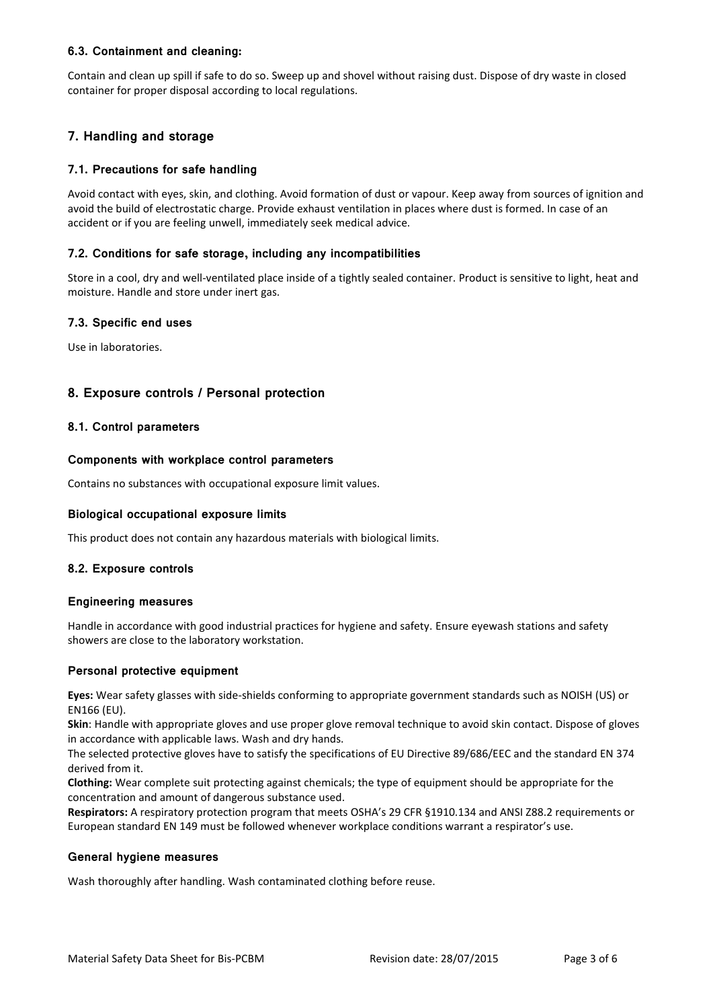### **6.3. Containment and cleaning:**

Contain and clean up spill if safe to do so. Sweep up and shovel without raising dust. Dispose of dry waste in closed container for proper disposal according to local regulations.

# **7. Handling and storage**

### **7.1. Precautions for safe handling**

Avoid contact with eyes, skin, and clothing. Avoid formation of dust or vapour. Keep away from sources of ignition and avoid the build of electrostatic charge. Provide exhaust ventilation in places where dust is formed. In case of an accident or if you are feeling unwell, immediately seek medical advice.

#### **7.2. Conditions for safe storage, including any incompatibilities**

Store in a cool, dry and well-ventilated place inside of a tightly sealed container. Product is sensitive to light, heat and moisture. Handle and store under inert gas.

### **7.3. Specific end uses**

Use in laboratories.

### **8. Exposure controls / Personal protection**

#### **8.1. Control parameters**

#### **Components with workplace control parameters**

Contains no substances with occupational exposure limit values.

#### **Biological occupational exposure limits**

This product does not contain any hazardous materials with biological limits.

#### **8.2. Exposure controls**

#### **Engineering measures**

Handle in accordance with good industrial practices for hygiene and safety. Ensure eyewash stations and safety showers are close to the laboratory workstation.

#### **Personal protective equipment**

**Eyes:** Wear safety glasses with side-shields conforming to appropriate government standards such as NOISH (US) or EN166 (EU).

**Skin**: Handle with appropriate gloves and use proper glove removal technique to avoid skin contact. Dispose of gloves in accordance with applicable laws. Wash and dry hands.

The selected protective gloves have to satisfy the specifications of EU Directive 89/686/EEC and the standard EN 374 derived from it.

**Clothing:** Wear complete suit protecting against chemicals; the type of equipment should be appropriate for the concentration and amount of dangerous substance used.

**Respirators:** A respiratory protection program that meets OSHA's 29 CFR §1910.134 and ANSI Z88.2 requirements or European standard EN 149 must be followed whenever workplace conditions warrant a respirator's use.

#### **General hygiene measures**

Wash thoroughly after handling. Wash contaminated clothing before reuse.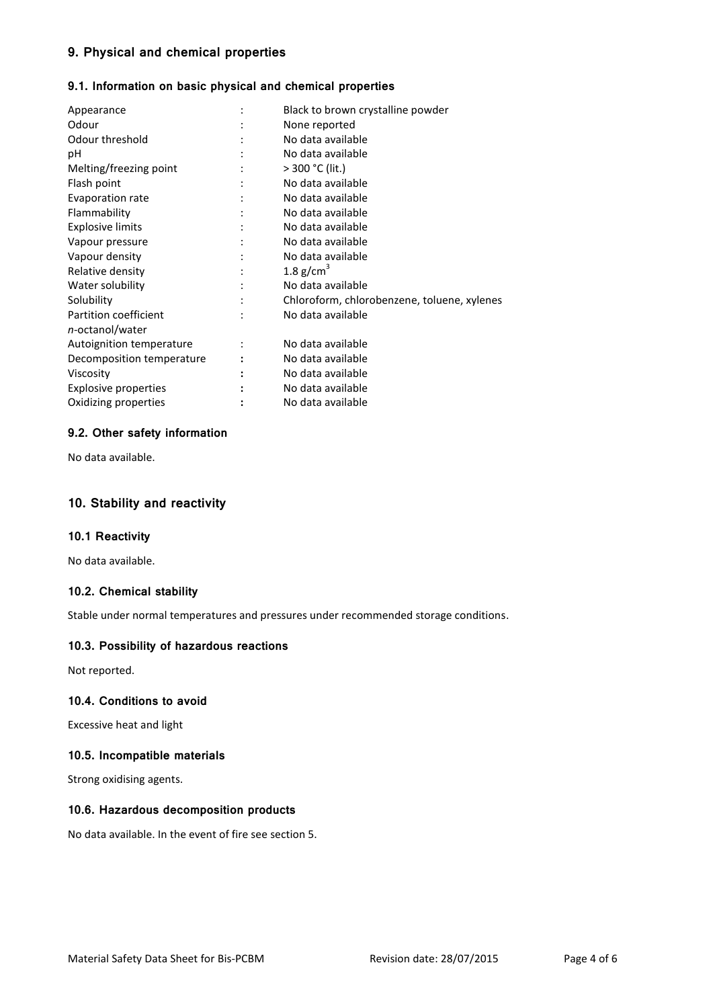# **9. Physical and chemical properties**

### **9.1. Information on basic physical and chemical properties**

| Appearance                  |                | Black to brown crystalline powder           |
|-----------------------------|----------------|---------------------------------------------|
| Odour                       |                |                                             |
|                             |                | None reported                               |
| Odour threshold             |                | No data available                           |
| рH                          |                | No data available                           |
| Melting/freezing point      |                | $> 300 °C$ (lit.)                           |
| Flash point                 |                | No data available                           |
| Evaporation rate            |                | No data available                           |
| Flammability                |                | No data available                           |
| <b>Explosive limits</b>     |                | No data available                           |
| Vapour pressure             |                | No data available                           |
| Vapour density              |                | No data available                           |
| Relative density            |                | 1.8 $g/cm3$                                 |
| Water solubility            | $\ddot{\cdot}$ | No data available                           |
| Solubility                  |                | Chloroform, chlorobenzene, toluene, xylenes |
| Partition coefficient       |                | No data available                           |
| n-octanol/water             |                |                                             |
| Autoignition temperature    |                | No data available                           |
| Decomposition temperature   |                | No data available                           |
| Viscosity                   |                | No data available                           |
| <b>Explosive properties</b> |                | No data available                           |
| Oxidizing properties        |                | No data available                           |
|                             |                |                                             |

#### **9.2. Other safety information**

No data available.

### **10. Stability and reactivity**

#### **10.1 Reactivity**

No data available.

### **10.2. Chemical stability**

Stable under normal temperatures and pressures under recommended storage conditions.

# **10.3. Possibility of hazardous reactions**

Not reported.

### **10.4. Conditions to avoid**

Excessive heat and light

#### **10.5. Incompatible materials**

Strong oxidising agents.

### **10.6. Hazardous decomposition products**

No data available. In the event of fire see section 5.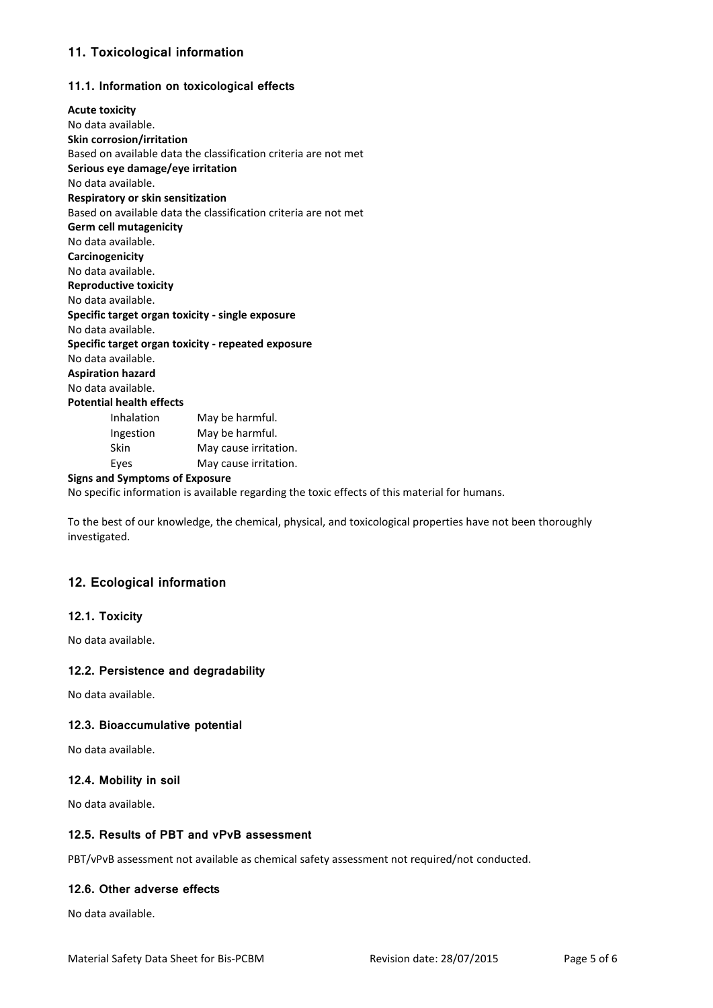# **11. Toxicological information**

### **11.1. Information on toxicological effects**

| <b>Acute toxicity</b>                              |                                                                 |  |  |  |  |
|----------------------------------------------------|-----------------------------------------------------------------|--|--|--|--|
| No data available.                                 |                                                                 |  |  |  |  |
| Skin corrosion/irritation                          |                                                                 |  |  |  |  |
|                                                    | Based on available data the classification criteria are not met |  |  |  |  |
| Serious eye damage/eye irritation                  |                                                                 |  |  |  |  |
| No data available.                                 |                                                                 |  |  |  |  |
| Respiratory or skin sensitization                  |                                                                 |  |  |  |  |
|                                                    | Based on available data the classification criteria are not met |  |  |  |  |
| <b>Germ cell mutagenicity</b>                      |                                                                 |  |  |  |  |
| No data available.                                 |                                                                 |  |  |  |  |
| Carcinogenicity                                    |                                                                 |  |  |  |  |
| No data available.                                 |                                                                 |  |  |  |  |
| <b>Reproductive toxicity</b>                       |                                                                 |  |  |  |  |
| No data available.                                 |                                                                 |  |  |  |  |
| Specific target organ toxicity - single exposure   |                                                                 |  |  |  |  |
| No data available.                                 |                                                                 |  |  |  |  |
| Specific target organ toxicity - repeated exposure |                                                                 |  |  |  |  |
| No data available.                                 |                                                                 |  |  |  |  |
| <b>Aspiration hazard</b>                           |                                                                 |  |  |  |  |
| No data available.                                 |                                                                 |  |  |  |  |
| <b>Potential health effects</b>                    |                                                                 |  |  |  |  |
| Inhalation                                         | May be harmful.                                                 |  |  |  |  |
| Ingestion                                          | May be harmful.                                                 |  |  |  |  |
| Skin                                               | May cause irritation.                                           |  |  |  |  |
| Eyes                                               | May cause irritation.                                           |  |  |  |  |
|                                                    |                                                                 |  |  |  |  |

### **Signs and Symptoms of Exposure**

No specific information is available regarding the toxic effects of this material for humans.

To the best of our knowledge, the chemical, physical, and toxicological properties have not been thoroughly investigated.

# **12. Ecological information**

### **12.1. Toxicity**

No data available.

#### **12.2. Persistence and degradability**

No data available.

#### **12.3. Bioaccumulative potential**

No data available.

### **12.4. Mobility in soil**

No data available.

### **12.5. Results of PBT and vPvB assessment**

PBT/vPvB assessment not available as chemical safety assessment not required/not conducted.

#### **12.6. Other adverse effects**

No data available.